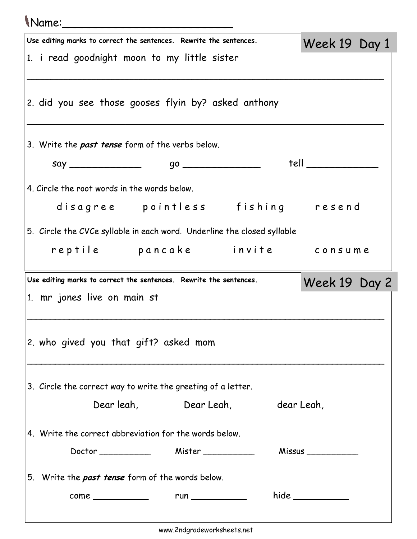## Name:\_\_\_\_\_\_\_\_\_\_\_\_\_\_\_\_\_\_\_\_\_\_\_\_\_

|                                                        | Use editing marks to correct the sentences. Rewrite the sentences.      |  |                                  |  |  | Week 19 Day 1       |  |
|--------------------------------------------------------|-------------------------------------------------------------------------|--|----------------------------------|--|--|---------------------|--|
|                                                        | 1. i read goodnight moon to my little sister                            |  |                                  |  |  |                     |  |
|                                                        |                                                                         |  |                                  |  |  |                     |  |
|                                                        |                                                                         |  |                                  |  |  |                     |  |
|                                                        | 2. did you see those gooses flyin by? asked anthony                     |  |                                  |  |  |                     |  |
|                                                        |                                                                         |  |                                  |  |  |                     |  |
|                                                        | 3. Write the past tense form of the verbs below.                        |  |                                  |  |  |                     |  |
|                                                        |                                                                         |  |                                  |  |  | tell ______________ |  |
|                                                        | 4. Circle the root words in the words below.                            |  |                                  |  |  |                     |  |
|                                                        | disagree pointless fishing resend                                       |  |                                  |  |  |                     |  |
|                                                        |                                                                         |  |                                  |  |  |                     |  |
|                                                        | 5. Circle the CVCe syllable in each word. Underline the closed syllable |  |                                  |  |  |                     |  |
|                                                        | reptile pancake invite consume                                          |  |                                  |  |  |                     |  |
|                                                        | Use editing marks to correct the sentences. Rewrite the sentences.      |  |                                  |  |  | Week 19 Day 2       |  |
|                                                        | 1. mr jones live on main st                                             |  |                                  |  |  |                     |  |
|                                                        |                                                                         |  |                                  |  |  |                     |  |
|                                                        |                                                                         |  |                                  |  |  |                     |  |
| 2. who gived you that gift? asked mom                  |                                                                         |  |                                  |  |  |                     |  |
|                                                        |                                                                         |  |                                  |  |  |                     |  |
|                                                        | 3. Circle the correct way to write the greeting of a letter.            |  |                                  |  |  |                     |  |
|                                                        |                                                                         |  | Dear leah, Dear Leah, dear Leah, |  |  |                     |  |
|                                                        |                                                                         |  |                                  |  |  |                     |  |
| 4. Write the correct abbreviation for the words below. |                                                                         |  |                                  |  |  |                     |  |
|                                                        |                                                                         |  |                                  |  |  | Missus ____________ |  |
|                                                        | 5. Write the past tense form of the words below.                        |  |                                  |  |  |                     |  |
|                                                        |                                                                         |  |                                  |  |  | hide                |  |
|                                                        |                                                                         |  |                                  |  |  |                     |  |
|                                                        |                                                                         |  |                                  |  |  |                     |  |

www.2ndgradeworksheets.net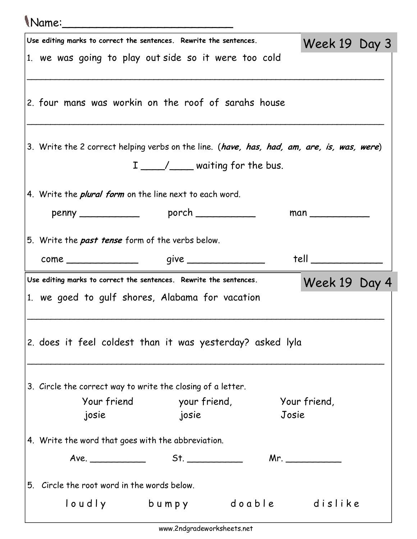## Name:\_\_\_\_\_\_\_\_\_\_\_\_\_\_\_\_\_\_\_\_\_\_\_\_\_

| Use editing marks to correct the sentences. Rewrite the sentences.                         |                                   |                | Week 19 Day 3         |  |  |
|--------------------------------------------------------------------------------------------|-----------------------------------|----------------|-----------------------|--|--|
| 1. we was going to play out side so it were too cold                                       |                                   |                |                       |  |  |
| 2. four mans was workin on the roof of sarahs house                                        |                                   |                |                       |  |  |
| 3. Write the 2 correct helping verbs on the line. (have, has, had, am, are, is, was, were) | I ____/___ waiting for the bus.   |                |                       |  |  |
| 4. Write the <i>plural form</i> on the line next to each word.                             |                                   |                |                       |  |  |
|                                                                                            |                                   |                |                       |  |  |
| 5. Write the past tense form of the verbs below.                                           |                                   |                |                       |  |  |
|                                                                                            |                                   |                | tell                  |  |  |
| Use editing marks to correct the sentences. Rewrite the sentences.                         |                                   |                | Week 19 Day 4         |  |  |
| 1. we goed to gulf shores, Alabama for vacation                                            |                                   |                |                       |  |  |
| 2. does it feel coldest than it was yesterday? asked lyla                                  |                                   |                |                       |  |  |
| 3. Circle the correct way to write the closing of a letter.                                |                                   |                |                       |  |  |
| josie                                                                                      | Your friend your friend,<br>josie |                | Your friend,<br>Josie |  |  |
| 4. Write the word that goes with the abbreviation.                                         |                                   |                |                       |  |  |
| Ave.                                                                                       | St.                               |                | Mr. _____________     |  |  |
| 5. Circle the root word in the words below.                                                |                                   |                |                       |  |  |
| loudly                                                                                     | bumpy                             | doable dislike |                       |  |  |
|                                                                                            |                                   |                |                       |  |  |